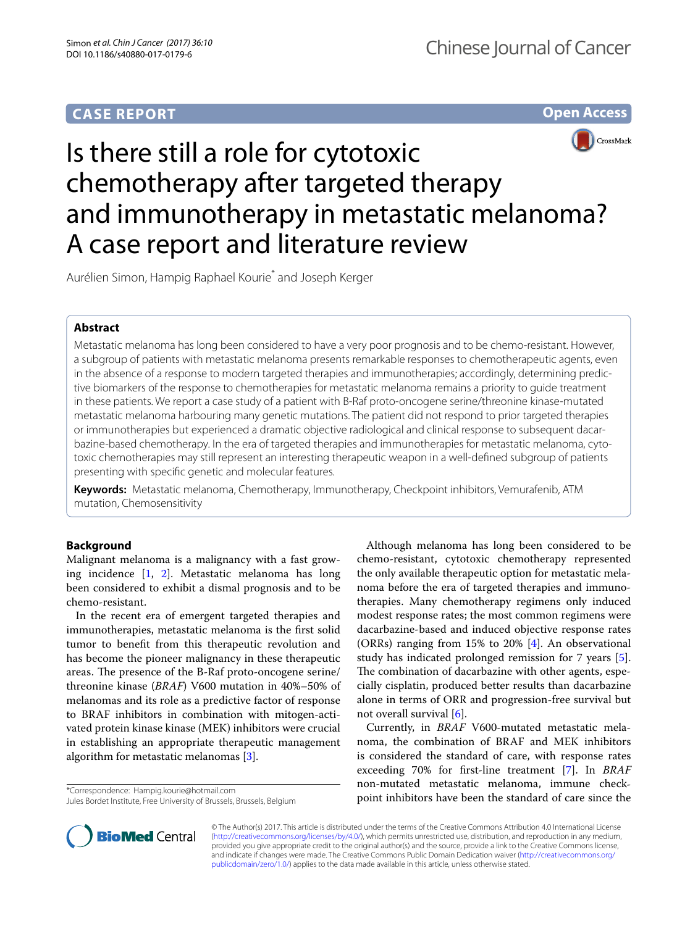## **CASE REPORT**





# Is there still a role for cytotoxic chemotherapy after targeted therapy and immunotherapy in metastatic melanoma? A case report and literature review

Aurélien Simon, Hampig Raphael Kourie\* and Joseph Kerger

## **Abstract**

Metastatic melanoma has long been considered to have a very poor prognosis and to be chemo-resistant. However, a subgroup of patients with metastatic melanoma presents remarkable responses to chemotherapeutic agents, even in the absence of a response to modern targeted therapies and immunotherapies; accordingly, determining predictive biomarkers of the response to chemotherapies for metastatic melanoma remains a priority to guide treatment in these patients. We report a case study of a patient with B-Raf proto-oncogene serine/threonine kinase-mutated metastatic melanoma harbouring many genetic mutations. The patient did not respond to prior targeted therapies or immunotherapies but experienced a dramatic objective radiological and clinical response to subsequent dacarbazine-based chemotherapy. In the era of targeted therapies and immunotherapies for metastatic melanoma, cytotoxic chemotherapies may still represent an interesting therapeutic weapon in a well-defined subgroup of patients presenting with specific genetic and molecular features.

**Keywords:** Metastatic melanoma, Chemotherapy, Immunotherapy, Checkpoint inhibitors, Vemurafenib, ATM mutation, Chemosensitivity

## **Background**

Malignant melanoma is a malignancy with a fast growing incidence [\[1](#page-3-0), [2](#page-3-1)]. Metastatic melanoma has long been considered to exhibit a dismal prognosis and to be chemo-resistant.

In the recent era of emergent targeted therapies and immunotherapies, metastatic melanoma is the first solid tumor to benefit from this therapeutic revolution and has become the pioneer malignancy in these therapeutic areas. The presence of the B-Raf proto-oncogene serine/ threonine kinase (*BRAF*) V600 mutation in 40%–50% of melanomas and its role as a predictive factor of response to BRAF inhibitors in combination with mitogen-activated protein kinase kinase (MEK) inhibitors were crucial in establishing an appropriate therapeutic management algorithm for metastatic melanomas [\[3](#page-3-2)].

\*Correspondence: Hampig.kourie@hotmail.com

Jules Bordet Institute, Free University of Brussels, Brussels, Belgium

Although melanoma has long been considered to be chemo-resistant, cytotoxic chemotherapy represented the only available therapeutic option for metastatic melanoma before the era of targeted therapies and immunotherapies. Many chemotherapy regimens only induced modest response rates; the most common regimens were dacarbazine-based and induced objective response rates (ORRs) ranging from 15% to 20% [\[4](#page-3-3)]. An observational study has indicated prolonged remission for 7 years [\[5](#page-3-4)]. The combination of dacarbazine with other agents, especially cisplatin, produced better results than dacarbazine alone in terms of ORR and progression-free survival but not overall survival [\[6](#page-3-5)].

Currently, in *BRAF* V600-mutated metastatic melanoma, the combination of BRAF and MEK inhibitors is considered the standard of care, with response rates exceeding 70% for first-line treatment [\[7\]](#page-3-6). In *BRAF* non-mutated metastatic melanoma, immune checkpoint inhibitors have been the standard of care since the



© The Author(s) 2017. This article is distributed under the terms of the Creative Commons Attribution 4.0 International License [\(http://creativecommons.org/licenses/by/4.0/\)](http://creativecommons.org/licenses/by/4.0/), which permits unrestricted use, distribution, and reproduction in any medium, provided you give appropriate credit to the original author(s) and the source, provide a link to the Creative Commons license, and indicate if changes were made. The Creative Commons Public Domain Dedication waiver ([http://creativecommons.org/](http://creativecommons.org/publicdomain/zero/1.0/) [publicdomain/zero/1.0/](http://creativecommons.org/publicdomain/zero/1.0/)) applies to the data made available in this article, unless otherwise stated.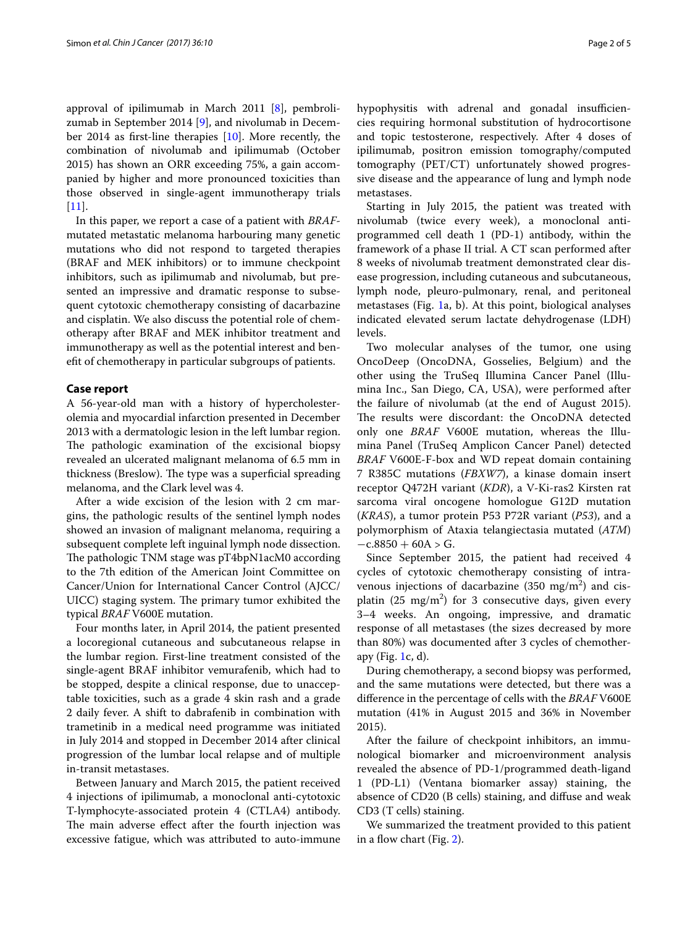approval of ipilimumab in March 2011 [\[8](#page-3-7)], pembrolizumab in September 2014 [\[9](#page-3-8)], and nivolumab in December 2014 as first-line therapies [\[10](#page-3-9)]. More recently, the combination of nivolumab and ipilimumab (October 2015) has shown an ORR exceeding 75%, a gain accompanied by higher and more pronounced toxicities than those observed in single-agent immunotherapy trials [[11\]](#page-3-10).

In this paper, we report a case of a patient with *BRAF*mutated metastatic melanoma harbouring many genetic mutations who did not respond to targeted therapies (BRAF and MEK inhibitors) or to immune checkpoint inhibitors, such as ipilimumab and nivolumab, but presented an impressive and dramatic response to subsequent cytotoxic chemotherapy consisting of dacarbazine and cisplatin. We also discuss the potential role of chemotherapy after BRAF and MEK inhibitor treatment and immunotherapy as well as the potential interest and benefit of chemotherapy in particular subgroups of patients.

#### **Case report**

A 56-year-old man with a history of hypercholesterolemia and myocardial infarction presented in December 2013 with a dermatologic lesion in the left lumbar region. The pathologic examination of the excisional biopsy revealed an ulcerated malignant melanoma of 6.5 mm in thickness (Breslow). The type was a superficial spreading melanoma, and the Clark level was 4.

After a wide excision of the lesion with 2 cm margins, the pathologic results of the sentinel lymph nodes showed an invasion of malignant melanoma, requiring a subsequent complete left inguinal lymph node dissection. The pathologic TNM stage was pT4bpN1acM0 according to the 7th edition of the American Joint Committee on Cancer/Union for International Cancer Control (AJCC/ UICC) staging system. The primary tumor exhibited the typical *BRAF* V600E mutation.

Four months later, in April 2014, the patient presented a locoregional cutaneous and subcutaneous relapse in the lumbar region. First-line treatment consisted of the single-agent BRAF inhibitor vemurafenib, which had to be stopped, despite a clinical response, due to unacceptable toxicities, such as a grade 4 skin rash and a grade 2 daily fever. A shift to dabrafenib in combination with trametinib in a medical need programme was initiated in July 2014 and stopped in December 2014 after clinical progression of the lumbar local relapse and of multiple in-transit metastases.

Between January and March 2015, the patient received 4 injections of ipilimumab, a monoclonal anti-cytotoxic T-lymphocyte-associated protein 4 (CTLA4) antibody. The main adverse effect after the fourth injection was excessive fatigue, which was attributed to auto-immune hypophysitis with adrenal and gonadal insufficiencies requiring hormonal substitution of hydrocortisone and topic testosterone, respectively. After 4 doses of ipilimumab, positron emission tomography/computed tomography (PET/CT) unfortunately showed progressive disease and the appearance of lung and lymph node metastases.

Starting in July 2015, the patient was treated with nivolumab (twice every week), a monoclonal antiprogrammed cell death 1 (PD-1) antibody, within the framework of a phase II trial. A CT scan performed after 8 weeks of nivolumab treatment demonstrated clear disease progression, including cutaneous and subcutaneous, lymph node, pleuro-pulmonary, renal, and peritoneal metastases (Fig. [1a](#page-2-0), b). At this point, biological analyses indicated elevated serum lactate dehydrogenase (LDH) levels.

Two molecular analyses of the tumor, one using OncoDeep (OncoDNA, Gosselies, Belgium) and the other using the TruSeq Illumina Cancer Panel (Illumina Inc., San Diego, CA, USA), were performed after the failure of nivolumab (at the end of August 2015). The results were discordant: the OncoDNA detected only one *BRAF* V600E mutation, whereas the Illumina Panel (TruSeq Amplicon Cancer Panel) detected *BRAF* V600E-F-box and WD repeat domain containing 7 R385C mutations (*FBXW7*), a kinase domain insert receptor Q472H variant (*KDR*), a V-Ki-ras2 Kirsten rat sarcoma viral oncogene homologue G12D mutation (*KRAS*), a tumor protein P53 P72R variant (*P53*), and a polymorphism of Ataxia telangiectasia mutated (*ATM*)  $-c.8850 + 60A > G.$ 

Since September 2015, the patient had received 4 cycles of cytotoxic chemotherapy consisting of intravenous injections of dacarbazine  $(350 \text{ mg/m}^2)$  and cisplatin (25  $\text{mg/m}^2$ ) for 3 consecutive days, given every 3–4 weeks. An ongoing, impressive, and dramatic response of all metastases (the sizes decreased by more than 80%) was documented after 3 cycles of chemotherapy (Fig. [1](#page-2-0)c, d).

During chemotherapy, a second biopsy was performed, and the same mutations were detected, but there was a difference in the percentage of cells with the *BRAF* V600E mutation (41% in August 2015 and 36% in November 2015).

After the failure of checkpoint inhibitors, an immunological biomarker and microenvironment analysis revealed the absence of PD-1/programmed death-ligand 1 (PD-L1) (Ventana biomarker assay) staining, the absence of CD20 (B cells) staining, and diffuse and weak CD3 (T cells) staining.

We summarized the treatment provided to this patient in a flow chart (Fig. [2\)](#page-2-1).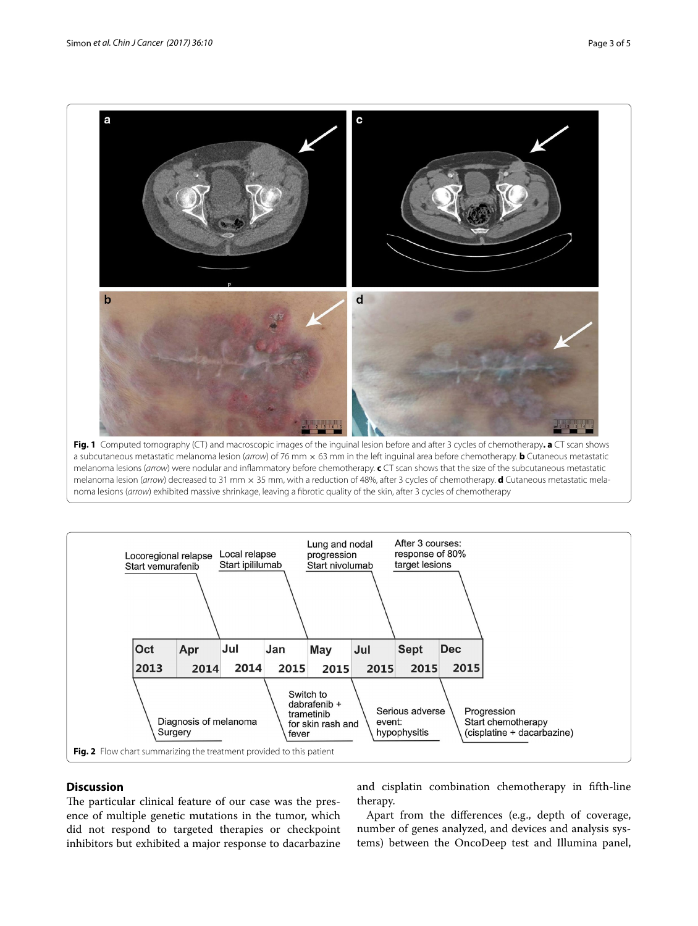

<span id="page-2-0"></span>a subcutaneous metastatic melanoma lesion (*arrow*) of 76 mm × 63 mm in the left inguinal area before chemotherapy. **b** Cutaneous metastatic melanoma lesions (*arrow*) were nodular and inflammatory before chemotherapy. **c** CT scan shows that the size of the subcutaneous metastatic melanoma lesion (*arrow*) decreased to 31 mm × 35 mm, with a reduction of 48%, after 3 cycles of chemotherapy. **d** Cutaneous metastatic melanoma lesions (*arrow*) exhibited massive shrinkage, leaving a fibrotic quality of the skin, after 3 cycles of chemotherapy



### <span id="page-2-1"></span>**Discussion**

The particular clinical feature of our case was the presence of multiple genetic mutations in the tumor, which did not respond to targeted therapies or checkpoint inhibitors but exhibited a major response to dacarbazine and cisplatin combination chemotherapy in fifth-line therapy.

Apart from the differences (e.g., depth of coverage, number of genes analyzed, and devices and analysis systems) between the OncoDeep test and Illumina panel,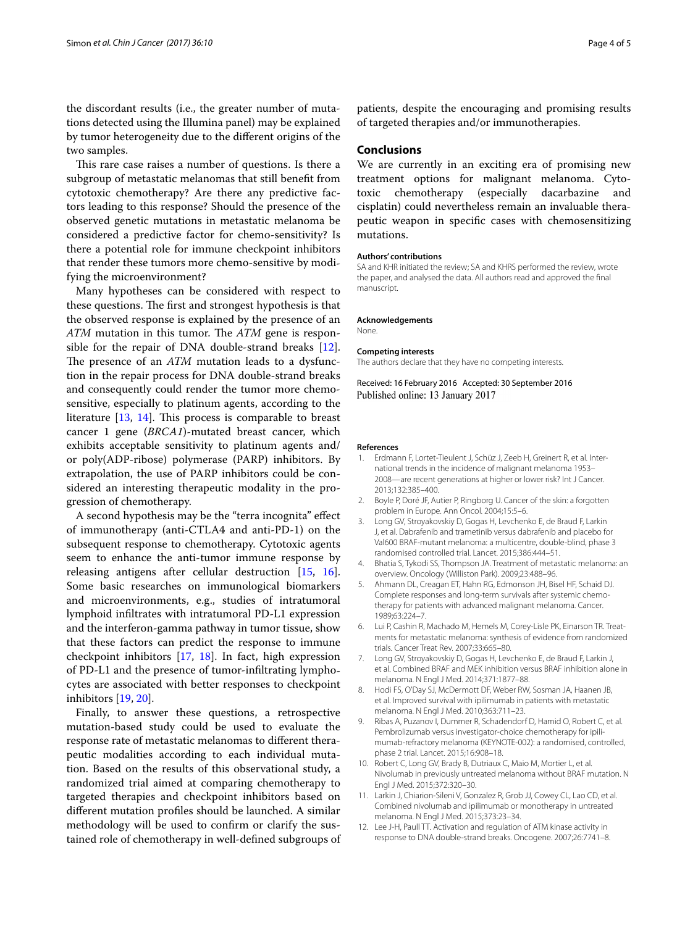the discordant results (i.e., the greater number of mutations detected using the Illumina panel) may be explained by tumor heterogeneity due to the different origins of the two samples.

This rare case raises a number of questions. Is there a subgroup of metastatic melanomas that still benefit from cytotoxic chemotherapy? Are there any predictive factors leading to this response? Should the presence of the observed genetic mutations in metastatic melanoma be considered a predictive factor for chemo-sensitivity? Is there a potential role for immune checkpoint inhibitors that render these tumors more chemo-sensitive by modifying the microenvironment?

Many hypotheses can be considered with respect to these questions. The first and strongest hypothesis is that the observed response is explained by the presence of an *ATM* mutation in this tumor. The *ATM* gene is responsible for the repair of DNA double-strand breaks [\[12](#page-3-11)]. The presence of an *ATM* mutation leads to a dysfunction in the repair process for DNA double-strand breaks and consequently could render the tumor more chemosensitive, especially to platinum agents, according to the literature [\[13](#page-4-0), [14\]](#page-4-1). This process is comparable to breast cancer 1 gene (*BRCA1*)-mutated breast cancer, which exhibits acceptable sensitivity to platinum agents and/ or poly(ADP-ribose) polymerase (PARP) inhibitors. By extrapolation, the use of PARP inhibitors could be considered an interesting therapeutic modality in the progression of chemotherapy.

A second hypothesis may be the "terra incognita" effect of immunotherapy (anti-CTLA4 and anti-PD-1) on the subsequent response to chemotherapy. Cytotoxic agents seem to enhance the anti-tumor immune response by releasing antigens after cellular destruction [\[15,](#page-4-2) [16](#page-4-3)]. Some basic researches on immunological biomarkers and microenvironments, e.g., studies of intratumoral lymphoid infiltrates with intratumoral PD-L1 expression and the interferon-gamma pathway in tumor tissue, show that these factors can predict the response to immune checkpoint inhibitors [[17,](#page-4-4) [18\]](#page-4-5). In fact, high expression of PD-L1 and the presence of tumor-infiltrating lymphocytes are associated with better responses to checkpoint inhibitors [[19,](#page-4-6) [20](#page-4-7)].

Finally, to answer these questions, a retrospective mutation-based study could be used to evaluate the response rate of metastatic melanomas to different therapeutic modalities according to each individual mutation. Based on the results of this observational study, a randomized trial aimed at comparing chemotherapy to targeted therapies and checkpoint inhibitors based on different mutation profiles should be launched. A similar methodology will be used to confirm or clarify the sustained role of chemotherapy in well-defined subgroups of

patients, despite the encouraging and promising results of targeted therapies and/or immunotherapies.

#### **Conclusions**

We are currently in an exciting era of promising new treatment options for malignant melanoma. Cytotoxic chemotherapy (especially dacarbazine and cisplatin) could nevertheless remain an invaluable therapeutic weapon in specific cases with chemosensitizing mutations.

#### **Authors' contributions**

SA and KHR initiated the review; SA and KHRS performed the review, wrote the paper, and analysed the data. All authors read and approved the final manuscript.

#### **Acknowledgements**

None.

#### **Competing interests**

The authors declare that they have no competing interests.

Received: 16 February 2016 Accepted: 30 September 2016 Published online: 13 January 2017

#### **References**

- <span id="page-3-0"></span>1. Erdmann F, Lortet-Tieulent J, Schüz J, Zeeb H, Greinert R, et al. International trends in the incidence of malignant melanoma 1953– 2008—are recent generations at higher or lower risk? Int J Cancer. 2013;132:385–400.
- <span id="page-3-1"></span>2. Boyle P, Doré JF, Autier P, Ringborg U. Cancer of the skin: a forgotten problem in Europe. Ann Oncol. 2004;15:5–6.
- <span id="page-3-2"></span>3. Long GV, Stroyakovskiy D, Gogas H, Levchenko E, de Braud F, Larkin J, et al. Dabrafenib and trametinib versus dabrafenib and placebo for Val600 BRAF-mutant melanoma: a multicentre, double-blind, phase 3 randomised controlled trial. Lancet. 2015;386:444–51.
- <span id="page-3-3"></span>4. Bhatia S, Tykodi SS, Thompson JA. Treatment of metastatic melanoma: an overview. Oncology (Williston Park). 2009;23:488–96.
- <span id="page-3-4"></span>5. Ahmann DL, Creagan ET, Hahn RG, Edmonson JH, Bisel HF, Schaid DJ. Complete responses and long-term survivals after systemic chemotherapy for patients with advanced malignant melanoma. Cancer. 1989;63:224–7.
- <span id="page-3-5"></span>6. Lui P, Cashin R, Machado M, Hemels M, Corey-Lisle PK, Einarson TR. Treatments for metastatic melanoma: synthesis of evidence from randomized trials. Cancer Treat Rev. 2007;33:665–80.
- <span id="page-3-6"></span>7. Long GV, Stroyakovskiy D, Gogas H, Levchenko E, de Braud F, Larkin J, et al. Combined BRAF and MEK inhibition versus BRAF inhibition alone in melanoma. N Engl J Med. 2014;371:1877–88.
- <span id="page-3-7"></span>8. Hodi FS, O'Day SJ, McDermott DF, Weber RW, Sosman JA, Haanen JB, et al. Improved survival with ipilimumab in patients with metastatic melanoma. N Engl J Med. 2010;363:711–23.
- <span id="page-3-8"></span>9. Ribas A, Puzanov I, Dummer R, Schadendorf D, Hamid O, Robert C, et al. Pembrolizumab versus investigator-choice chemotherapy for ipilimumab-refractory melanoma (KEYNOTE-002): a randomised, controlled, phase 2 trial. Lancet. 2015;16:908–18.
- <span id="page-3-9"></span>10. Robert C, Long GV, Brady B, Dutriaux C, Maio M, Mortier L, et al. Nivolumab in previously untreated melanoma without BRAF mutation. N Engl J Med. 2015;372:320–30.
- <span id="page-3-10"></span>11. Larkin J, Chiarion-Sileni V, Gonzalez R, Grob JJ, Cowey CL, Lao CD, et al. Combined nivolumab and ipilimumab or monotherapy in untreated melanoma. N Engl J Med. 2015;373:23–34.
- <span id="page-3-11"></span>12. Lee J-H, Paull TT. Activation and regulation of ATM kinase activity in response to DNA double-strand breaks. Oncogene. 2007;26:7741–8.